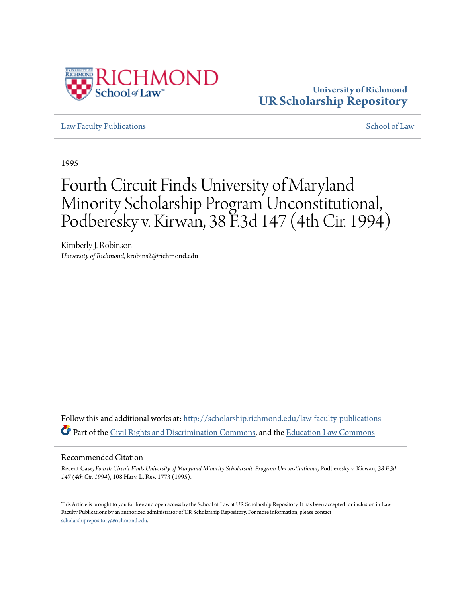

## **University of Richmond [UR Scholarship Repository](http://scholarship.richmond.edu?utm_source=scholarship.richmond.edu%2Flaw-faculty-publications%2F522&utm_medium=PDF&utm_campaign=PDFCoverPages)**

[Law Faculty Publications](http://scholarship.richmond.edu/law-faculty-publications?utm_source=scholarship.richmond.edu%2Flaw-faculty-publications%2F522&utm_medium=PDF&utm_campaign=PDFCoverPages)  $\sim$  [School of Law](http://scholarship.richmond.edu/law?utm_source=scholarship.richmond.edu%2Flaw-faculty-publications%2F522&utm_medium=PDF&utm_campaign=PDFCoverPages) School of Law School of Law School of Law School of Law School of Law School of Law School of Law School of Law School of Law School of Law School of Law School of Law School of

1995

## Fourth Circuit Finds University of Maryland Minority Scholarship Program Unconstitutional, Podberesky v. Kirwan, 38 F.3d 147 (4th Cir. 1994)

Kimberly J. Robinson *University of Richmond*, krobins2@richmond.edu

Follow this and additional works at: [http://scholarship.richmond.edu/law-faculty-publications](http://scholarship.richmond.edu/law-faculty-publications?utm_source=scholarship.richmond.edu%2Flaw-faculty-publications%2F522&utm_medium=PDF&utm_campaign=PDFCoverPages) Part of the [Civil Rights and Discrimination Commons,](http://network.bepress.com/hgg/discipline/585?utm_source=scholarship.richmond.edu%2Flaw-faculty-publications%2F522&utm_medium=PDF&utm_campaign=PDFCoverPages) and the [Education Law Commons](http://network.bepress.com/hgg/discipline/596?utm_source=scholarship.richmond.edu%2Flaw-faculty-publications%2F522&utm_medium=PDF&utm_campaign=PDFCoverPages)

## Recommended Citation

Recent Case, *Fourth Circuit Finds University of Maryland Minority Scholarship Program Unconstitutional*, Podberesky v. Kirwan, *38 F.3d 147 (4th Cir. 1994*), 108 Harv. L. Rev. 1773 (1995).

This Article is brought to you for free and open access by the School of Law at UR Scholarship Repository. It has been accepted for inclusion in Law Faculty Publications by an authorized administrator of UR Scholarship Repository. For more information, please contact [scholarshiprepository@richmond.edu.](mailto:scholarshiprepository@richmond.edu)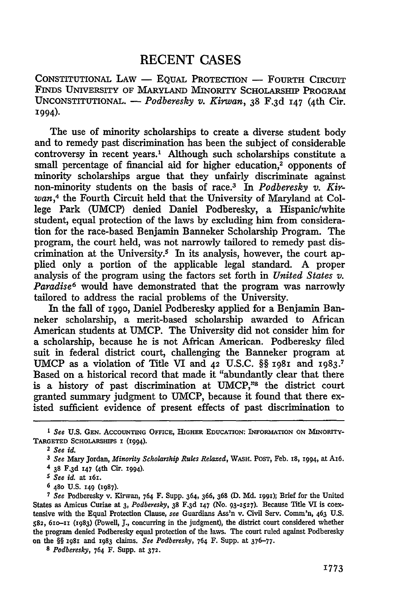## RECENT CASES

CONSTITUTIONAL LAW - EQUAL PROTECTION - FOURTH CIRCUIT FINDS UNIVERSITY OF MARYLAND MINORITY SCHOLARSHIP PROGRAM UNCONSTITUTIONAL. - *Podberesky v. Kirwan*, 38 F.3d 147 (4th Cir. !994).

The use of minority scholarships to create a diverse student body and to remedy past discrimination has been the subject of considerable controversy in recent years.<sup>1</sup> Although such scholarships constitute a small percentage of financial aid for higher education,<sup>2</sup> opponents of minority scholarships argue that they unfairly discriminate against non-minority students on the basis of race.3 In *Podberesky v. Kirwan,4* the Fourth Circuit held that the University of Maryland at College Park (UMCP) denied Daniel Podberesky, a Hispanic/white student, equal protection of the laws by excluding him from consideration for the race-based Benjamin Banneker Scholarship Program. The program, the court held, was not narrowly tailored to remedy past discrimination at the University.<sup>5</sup> In its analysis, however, the court applied only a portion of the applicable legal standard. A proper analysis of the program using the factors set forth in *United States v. Paradise*<sup>6</sup> would have demonstrated that the program was narrowly tailored to address the racial problems of the University.

In the fall of I990, Daniel Podberesky applied for a Benjamin Banneker scholarship, a merit-based scholarship awarded to Mrican American students at UMCP. The University did not consider him for a scholarship, because he is not African American. Podberesky filed suit in federal district court, challenging the Banneker program at UMCP as a violation of Title VI and 42 U.S.C. §§ 1981 and 1983.<sup>7</sup> Based on a historical record that made it "abundantly clear that there is a history of past discrimination at UMCP,"8 the district court granted summary judgment to UMCP, because it found that there existed sufficient evidence of present effects of past discrimination to

6 480 U.S. I49 (1987).

8 *Podberesky,* 764 F. Supp. at 372.

<sup>1</sup> *See* U.S. GEN. AcCOUNTING OFFICE, HIGHER EDUCATION: INFORMATION ON MINORITY-TARGETED SCHOLARSHIPS I (I994).

<sup>2</sup> *See id.* 

<sup>3</sup> *See* Mary Jordan, *Minority Scholarship Rules Relaxed,* WASH. PoST, Feb. IS, I994, at AI6.

<sup>4 38</sup> F.3d I47 (4th Cir. I994).

*<sup>5</sup> See id.* at I6I.

<sup>7</sup> *See* Podberesky v. Kirwan, 764 F. Supp. 364, 366, 368 (D. Md. I99I); Brief for the United States as Amicus Curiae at 3, *Podberesky,* 38 F.3d I47 (No. 93-2527). Because Title VI is coextensive with the Equal Protection Clause, *see* Guardians Ass'n v. Civil Serv. Comm'n, 463 U.S. 582, 6Io-IX (I983) (Powell, J., concurring in the judgment), the district court considered whether the program denied Podberesky equal protection of the Jaws. The court ruled against Podberesky on the §§ I98I and 1983 claims. *See Podberesky,* 764 F. Supp. at 376-77-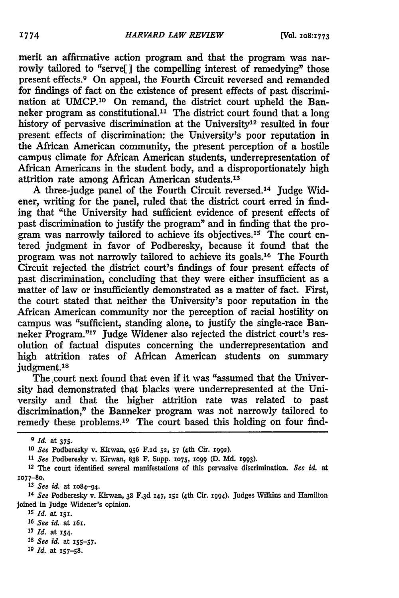merit an affirmative action program and that the program was narrowly tailored to "serve[ ] the compelling interest of remedying" those present effects.<sup>9</sup> On appeal, the Fourth Circuit reversed and remanded for findings of fact on the existence of present effects of past discrimination at UMCP.10 On remand, the district court upheld the Banneker program as constitutional.11 The district court found that a long history of pervasive discrimination at the University<sup>12</sup> resulted in four present effects of discrimination: the University's poor reputation in the Mrican American community, the present perception of a hostile campus climate for Mrican American students, underrepresentation of Mrican Americans in the student body, and a disproportionately high attrition rate among Mrican American students.13

A three-judge panel of the Fourth Circuit reversed. 14 Judge Widener, writing for the panel, ruled that the district court erred in finding that "the University had sufficient evidence of present effects of past discrimination to justify the program" and in finding that the program was narrowly tailored to achieve its objectives.<sup>15</sup> The court entered judgment in favor of Podberesky, because it found that the program was not narrowly tailored to achieve its goals.16 The Fourth Circuit rejected the district court's findings of four present effects of past discrimination, concluding that they were either insufficient as a matter of law or insufficiently demonstrated as a matter of fact. First, the court stated that neither the University's poor reputation in the Mrican American community nor the perception of racial hostility on campus was "sufficient, standing alone, to justify the single-race Banneker Program."17 Judge Widener also rejected the district court's resolution of factual disputes concerning the underrepresentation and high attrition rates of African American students on summary judgment.<sup>18</sup>

The court next found that even if it was "assumed that the University had demonstrated that blacks were underrepresented at the University and that the higher attrition rate was related to past discrimination," the Banneker program was not narrowly tailored to remedy these problems.19 The court based this holding on four find-

<sup>9</sup>*Id.* at 375.

<sup>10</sup> *See* Podberesky v. Kirwan, 956 F.2d 52, *57* (4th Cir. 1992).

<sup>11</sup>*See* Podberesky v. Kirwan, 838 F. Supp. 1075, 1099 (D. Md. 1993).

<sup>12</sup> The court identified several manifestations of this pervasive discrimination. *See* id. at 1077-80.

<sup>13</sup> *See id.* at 1084-94.

<sup>14</sup> *See* Podberesky v. Kirwan, 38 F.3d 147, 151 (4th Cir. 1994). Judges Wilkins and Hamilton joined in Judge Widener's opinion.

<sup>15</sup> *Id.* at rs1.

<sup>16</sup> *See id.* at r61.

<sup>1</sup>7 Id. at IS4·

<sup>18</sup> *See id.* at ISS-57·

<sup>19</sup> *Id.* at IS7-S8.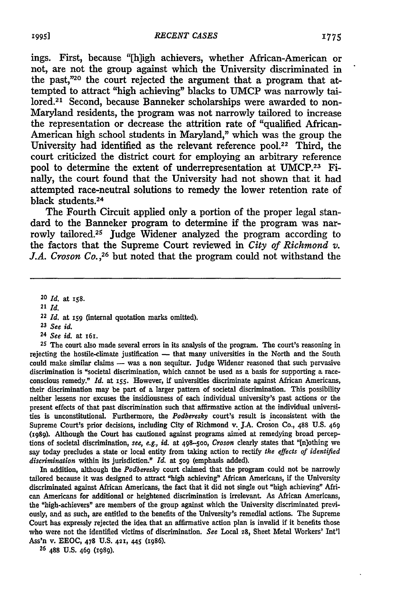ings. First, because "[h]igh achievers, whether African-American or not, are not the group against which the University discriminated in the past,"20 the court rejected the argument that a program that attempted to attract "high achieving" blacks to UMCP was narrowly tailored.<sup>21</sup> Second, because Banneker scholarships were awarded to non-Maryland residents, the program was not narrowly tailored to increase the representation or decrease the attrition rate of "qualified African-American high school students in Maryland," which was the group the University had identified as the relevant reference pool.<sup>22</sup> Third, the court criticized the district court for employing an arbitrary reference pool to determine the extent of underrepresentation at UMCP.23 Finally, the court found that the University had not shown that it had attempted race-neutral solutions to remedy the lower retention rate of black students. 24

The Fourth Circuit applied only a portion of the proper legal standard to the Banneker program to determine if the program was narrowly tailored.25 Judge Widener analyzed the program according to the factors that the Supreme Court reviewed in *City of Richmond v. J.A. Croson* Co.,26 but noted that the program could not withstand the

- 23 *See id.*
- 24 *See id.* at r6r.

*25* The court also made several errors in its analysis of the program. The court's reasoning in rejecting the hostile-climate justification - that many universities in the North and the South could make similar claims - was a non sequitur. Judge Widener reasoned that such pervasive discrimination is "societal discrimination, which cannot be used as a basis for supporting a raceconscious remedy." *ld.* at I55· However, if universities discriminate against African Americans, their discrimination may be part of a larger pattern of societal discrimination. This possibility neither lessens nor excuses the insidiousness of each individual university's past actions or the present effects of that past discrimination such that affirmative action at the individual universities is unconstitutional. Furthermore, the *Podberesky* court's result is inconsistent with the Supreme Court's prior decisions, including City of Richmond v. J.A. Croson Co., 488 U.S. 469 (1989). Although the Court has cautioned against programs ainied at remedying broad perceptions of societal discrimination, *see, e.g., id.* at 498-500, *Croson* clearly states that "[n]othing we say today precludes a state or local entity from taking action to rectify *the effects of identified discrimination* within its jurisdiction." *ld.* at *509* (emphasis added).

In addition, although the *Podberesky* court claimed that the program could not be narrowly tailored because it was designed to attract "high achieving" African Americans, if the University discriminated against African Americans, the fact that it did not single out "high achieving" African Americans for additional or heightened discrimination is irrelevant. As African Americans, the "high-achievers" are members of the group against which the University discriminated previously, and as such, are entitled to the benefits of the University's remedial actions. The Supreme Court has expressly rejected the idea that an affirmative action plan is invalid if it benefits those who were not the identified victims of discrimination. *See* Local 28, Sheet Metal Workers' Int'l Ass'n v. EEOC, 478 U.S. 421, *445* (1986).

26 488 U.S. 469 (1989).

<sup>20</sup> *ld.* at I58.

<sup>21</sup> *ld.* 

<sup>22</sup>*ld.* at *159* (internal quotation marks omitted).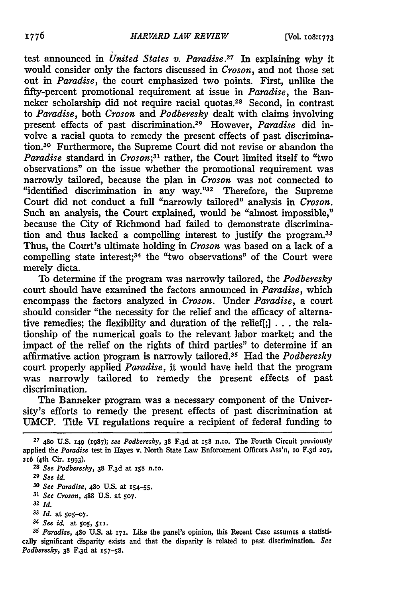test announced in *United States v. Paradise*.<sup>27</sup> In explaining why it would consider only the factors discussed in *Croson,* and not those set out in *Paradise,* the court emphasized two points. First, unlike the fifty-percent promotional requirement at issue in *Paradise,* the Banneker scholarship did not require racial quotas.<sup>28</sup> Second, in contrast to *Paradise,* both *Croson* and *Podberesky* dealt with claims involving present effects of past discrimination.29 However, *Paradise* did involve a racial quota to remedy the present effects of past discrimination.30 Furthermore, the Supreme Court did not revise or abandon the *Paradise* standard in *Croson;31* rather, the Court limited itself to "two observations" on the issue whether the promotional requirement was narrowly tailored, because the plan in *Croson* was not connected to "identified discrimination in any way."32 Therefore, the Supreme Court did not conduct a full "narrowly tailored" analysis in *Croson.*  Such an analysis, the Court explained, would be "almost impossible," because the City of Richmond had failed to demonstrate discrimination and thus lacked a compelling interest to justify the program.33 Thus, the Court's ultimate holding in *Croson* was based on a lack of a compelling state interest;<sup>34</sup> the "two observations" of the Court were merely dicta.

To determine if the program was narrowly tailored, the *Podberesky*  court should have examined the factors announced in *Paradise,* which encompass the factors analyzed in *Croson.* Under *Paradise,* a court should consider "the necessity for the relief and the efficacy of alternative remedies; the flexibility and duration of the relief[;] . . . the relationship of the numerical goals to the relevant labor market; and the impact of the relief on the rights of third parties" to determine if an affirmative action program is narrowly tailored.35 Had the *Podberesky*  court properly applied *Paradise,* it would have held that the program was narrowly tailored to remedy the present effects of past discrimination.

The Banneker program was a necessary component of the University's efforts to remedy the present effects of past discrimination at UMCP. Title VI regulations require a recipient of federal funding to

31 *See Croson,* 488 U.S. at so7.

*33 Id.* at sos-o7.

<sup>27 4</sup>So U.S. 149 (19S7); *see Podberesky,* 3S F.3d at ISS n.Io. The Fourth Circuit previously applied the *Paradise* test in Hayes v. North State Law Enforcement Officers Ass'n, 10 F.3d 207, 216 (4th Cir. 1993).

<sup>28</sup> *See Podberesky,* 3S F.3d at xss n.Io.

<sup>29</sup> *See id.* 

<sup>30</sup> *See Paradise,* 480 U.S. at IS4-SS.

<sup>32</sup> *Id.* 

<sup>&</sup>lt;sup>34</sup> *See id.* at 505, 511.

*<sup>35</sup> Paradise,* 480 U.S. at 171. Like the panel's opinion, this Recent Case assumes a statisti· cally significant disparity exists and that the disparity is related to past discrimination. *See Podberesky,* 3S F.3d at IS7-sS.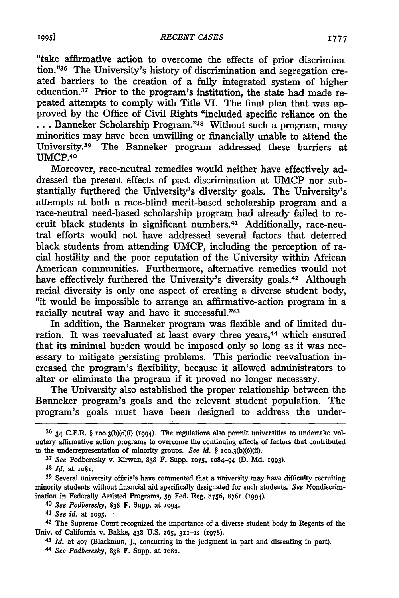"take affirmative action to overcome the effects of prior discrimination."36 The University's history of discrimination and segregation created barriers to the creation of a fully integrated system of higher education.37 Prior to the program's institution, the state had made repeated attempts to comply with Title VI. The final plan that was approved by the Office of Civil Rights "included specific reliance on the ... Banneker Scholarship Program."38 Without such a program, many minorities may have been unwilling or financially unable to attend the University.39 The Banneker program addressed these barriers at UMCP.40

Moreover, race-neutral remedies would neither have effectively addressed the present effects of past discrimination at UMCP nor substantially furthered the University's diversity goals. The University's attempts at both a race-blind merit-based scholarship program and a race-neutral need-based scholarship program had already failed to recruit black students in significant numbers.41 Additionally, race-neutral efforts would not have addressed several factors that deterred black students from attending UMCP, including the perception of racial hostility and the poor reputation of the University within Mrican American communities. Furthermore, alternative remedies would not have effectively furthered the University's diversity goals.<sup>42</sup> Although racial diversity is only one aspect of creating a diverse student body, "it would be impossible to arrange an affirmative-action program in a racially neutral way and have it successful."43

In addition, the Banneker program was flexible and of limited duration. It was reevaluated at least every three years,<sup>44</sup> which ensured that its minimal burden would be imposed only so long as it was necessary to mitigate persisting problems. This periodic reevaluation increased the program's flexibility, because it allowed administrators to alter or eliminate the program if it proved no longer necessary.

The University also established the proper relationship between the Banneker program's goals and the relevant student population. The program's goals must have been designed to address the under-

<sup>37</sup> See Podberesky v. Kirwan, 838 F. Supp. 1075, 1084-94 (D. Md. 1993).

38 Id. at 1081.

39 Several university officials have commented that a university may have difficulty recruiting minority students without financial aid specifically designated for such students. *See* Nondiscrimination in Federally Assisted Programs, 59 Fed. Reg. 8756, 8761 (1994).

40 *See Podberesky,* 838 F. Supp. at 1094.

4l *See id.* at 1095. ·

42 The Supreme Court recognized the importance of a diverse student body in Regents of the Univ. of California v. Bakke, 438 U.S. 265, 3II-12 (1978).

43 *Id.* at 407 (Blackmun, J., concurring in the judgment in part and dissenting in part).

44 *See Podberesky,* 838 F. Supp. at 1082.

<sup>36 34</sup> C.F.R § 100.3(b){6)(i) (1994). The regulations also permit universities to undertake voluntary affirmative action programs to overcome the continuing effects of factors that contributed to the underrepresentation of minority groups. *See id.* § 100.3(b)(6)(ii).